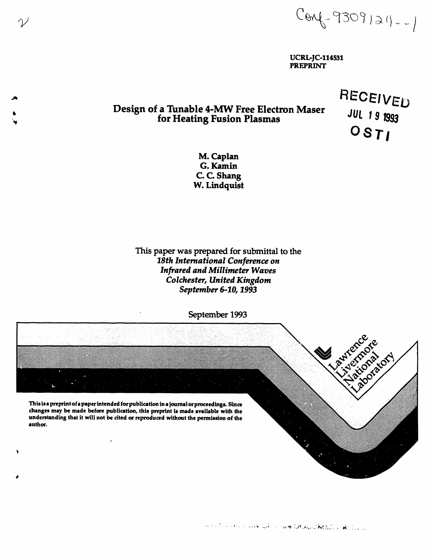$Conv-9309124--1$ 

**UCRL-JC-114531 PREPRINT** 

# Design of a Tunable 4-MW Free Electron Maser for Heating Fusion Plasmas

 $\gamma$ 

RECEIVED **JUL 19 1993**  $OSTI$ 

M. Caplan G. Kamin C. C. Shang W. Lindquist

This paper was prepared for submittal to the 18th International Conference on **Infrared and Millimeter Waves** Colchester, United Kingdom September 6-10, 1993

September 1993

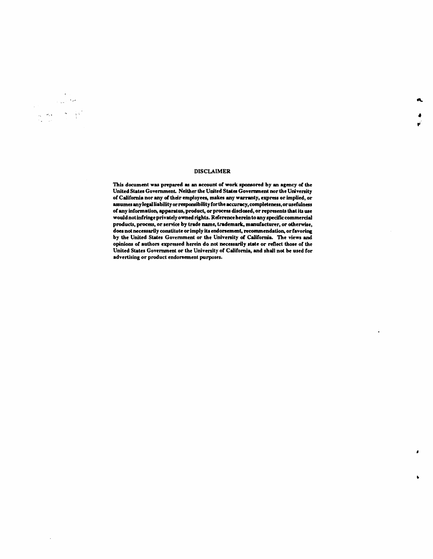# **DISCLAIMER**

فبرد

 $\sigma=\frac{1}{3}\sqrt{2}$ 

 $\hat{\rho}_i = \frac{1}{2} \hat{\rho}_i \hat{\rho}_i$ 

This document was prepared as an account of work sponsored by an agency of the United States Government. Neither the United States Government nor the University of California nor any of their employees, makes any warranty, express or implied, or assumes any legal liability or responsibility for the accuracy, completeness, or usefulness of any information, apparatus, product, or process disclosed, or represents that its use would not infringe privately owned rights. Reference herein to any specific commercial products, process, or service by trade name, trademark, manufacturer, or otherwise, does not necessarily constitute or imply its endorsement, recommendation, or favoring by the United States Government or the University of California. The views and opinions of authors expressed herein do not necessarily state or reflect those of the United States Government or the University of California, and shall not be used for advertising or product endorsement purposes.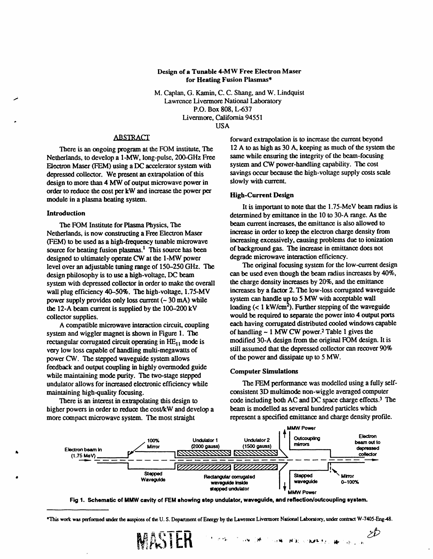# **Design of a Tunable 4-MW Free Electron Maser for Heating Fusion Plasmas\***

**M**. **Caplan, G**. K**amin, C. C**. **Shang, and W. Lindquis**t i **La**w**rence Liv**er**mo**r**e National Labo**r**atory P.O**. **Box 808, L-637 Liv**ermore**,** Calif**o**rnia 9455**1** US**A**

# **ABSTRACT**

Nethe**r**lands, to develop a 1-MW, long-pulse, 200-GHz Free **s**ame w**h**ile ensuring the int**e**grity of the beam-focusing Elect**r**on Maser (FEM) **u**sing a DC **a**ccelerator system with *s*ystem and *C*W power-**h**andling capability. The cost depressed collector. We present an extrapolation of this savings occur because the savings of the same saving supply with current. design to more than 4 MW of output microwave power in order to reduce the cost per kW and increase the power per **o**rde**r** t**o** reduce the co**s**t pe**r** kW an**d i**ncrease the power per H**igh-Cur**r**ent De***s*ig**n** module in a plasma **h**eating **s**ystem.

Netherlands, is now constructing a Free Electron Maser<br>(FEM) to be used as a high-frequency tunable microwave increasing excessively, causing problems due to ionization (FEM) to be used as a high-frequency tunable microwave increasing excessively, causing problems due to ionizat<br>source for heating fusion plasmas <sup>1</sup>. This source has been of background gas. The increase in emittance does n source for heating fusion plasmas.<sup>1</sup> This source has been of background gas. The increase in emitta<br>designed to ultimately operate CW at the 1-MW power degrade microwave interaction efficiency. designed to ultimately operate CW at the 1-MW power degrade microwave interaction efficiency.<br>
level over an adjustable tuning range of 150–250 GHz. The The original focusing system for the low-current design level over an adjustable tuning range of 150–250 GHz. The The original focusing system for the low-current design<br>design philosophy is to use a high-voltage DC beam can be used even though the beam radius increases by 40%, design philosophy is to use a high-voltage, DC beam can be used even though the beam radius increases by 4<br>system with depressed collector in order to make the overall the charge density increases by 20%, and the emittance system with depressed collector in order to make the overall the charge density increases by 20%, and the emittance<br>wall plug efficiency 40–50%. The high-voltage, 1.75-MV increases by a factor 2. The low-loss corrugated wa wall plug efficiency 40–50%. The high-voltage, 1.75-MV increases by a factor 2. The low-loss corrugated wave<br>nower supply provides only loss current (~ 30 mA) while system can handle up to 5 MW with acceptable wall power supply provides only loss current  $(-30 \text{ mA})$  while system can handle up to 5 MW with acceptable wall<br>the 12-A beam current is supplied by the 100–200 kV loading  $(< 1 \text{ kW/cm}^2)$ . Further stepping of the waveguide the 12-A beam current is supplied by the 100-200 kV loading ( $\lt$  1 kW/cm<sup>2</sup>). Further stepping of the waveguide<br>collector supplies.<br>would be required to separate the power into 4 output ports

system and wiggler magnet is shown in Figure 1. The of handling  $\sim$  1 MW CW power. Table 1 gives the rectangular corrugated circuit operating in HE., mode is modified 30-A design from the original FOM design. It is rectangular corrugated circuit operating in  $HE_{11}$  mode is modified 30-A design from the original FOM design. It is<br>very low loss capable of handling multi-megawatts of still assumed that the depressed collector can reco very low loss capable of handling multi-megawatts of still assumed that the depressed collectors very low of the power and dissipate up to 5 MW. power CW. The stepped waveguide system allows feedback and output coupling in highly overmoded guide while maintaining mode purity. The two-stage stepped<br>
Electron Languardian Computer Sumulation undulator allows for increased electronic efficiency while The FEM performance was modelled using a fully self-<br>maintaining high-quality focusing.<br>consistent 3D multimode non-wiggle averaged computer

**higher powers in order to reduce the cost/kW and develop a beam is modelled as several hundred particles which more compact microwave system. The most straight represent a specified emittance and charge density profile.** more compact microwave system. The most straight

**fo**rw**a**rd extrapolati**o**n i*s* to incre**a**se the cur**r**ent be**yo**n**d** There is an ongoing program at the FOM institute, The 12 A to as high as 30 A, keeping as much of the system<br>extands, to develop a 1-MW long-pulse, 200-GHz Free same while ensuring the integrity of the beam-focusing

lt is important to note t**h**at t**h**e 1.75-MeV beam radius is Introduction<br>The FOM Institute for Plasma Physics. The **determined by** emittance in the 10 to 30-A range. As the<br>beam current increases, the emittance is also allowed to The FOM **I**n**s**tit**u**te **fo**r **P**la**s**ma P**hysi**c**s,** The beam curre**n**t **in**crea*s*e**s,** t**h**e emittance **is** also all**ow**ed t**o**

 $\epsilon$  **acch having corrugated distributed cooled windows capable** A compatible microwave interaction circuit, coupling each having corrugated distributed cooled windows<br>em and wiggler magnet is shown in Figure 1. The of handling ~ 1 MW CW power.<sup>2</sup> Table 1 gives the

ntaining high-quality focusing.<br>There is an interest in extrapolating this design to code including both AC and DC space charge effects.<sup>3</sup> T code including both AC and DC space charge effects.<sup>3</sup> The beam is modelled as several hundred particles which

 $z\!b$ 



Fig 1. Schematic of MMW cavity of FEM showing step undulator, waveguide, and reflection/outcoupling system.

*'¢* **'** *:*'\_ \_ .,', \_ *,*\_ N): **'**t.*c*t,*:* i\_ *,*\_ . \_.

<sup>\*</sup>This work was performed under the auspices of the U.S. Department of Energy by the Lawrence Livermore National Laboratory, under contract W-7405-Eng-48.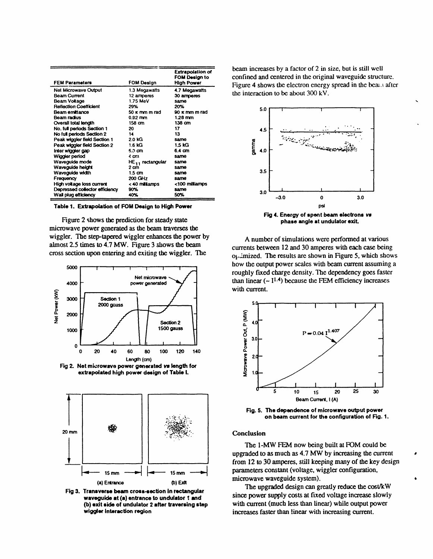| <b>FEM Parameters</b>          | FOM Design                   | <b>Extrapolation of</b><br>FOM Design to<br>High Power |
|--------------------------------|------------------------------|--------------------------------------------------------|
| <b>Net Microwave Output</b>    | 1.3 Megawatts                | 4.7 Megawatts                                          |
| <b>Beam Current</b>            | 12 amperes                   | 30 amperes                                             |
| Beam Voltage                   | 1.75 MeV                     | same                                                   |
| Reflection Coefficient         | 29%                          | 20%                                                    |
| Beam emittance                 | $50 \times$ mm m rad         | $90 \times$ mm m rad                                   |
| Beam radius                    | $0.92$ mm                    | $1.28$ mm                                              |
| Overall total length           | 158 cm                       | $138$ cm                                               |
| No. full periods Section 1     | 20                           | 17                                                     |
| No full periods Section 2      | 14                           | 13                                                     |
| Peak wiggier field Section 1   | 2.0 KG                       | same                                                   |
| Peak wiggler field Section 2   | 1.6 kG                       | 1.5 KG                                                 |
| Inter wiggier gap              | 5.0 cm                       | 6.4 cm                                                 |
| Wiggler period                 | 4 am                         | same                                                   |
| Waveguide mode                 | HE <sub>11</sub> rectangular | same                                                   |
| Waveguide height               | 2 cm                         | same                                                   |
| Wavoguide width                | $1.5 \text{ cm}$             | same                                                   |
| Frequency                      | 200 GHz                      | same                                                   |
| High voltage loss current      | < 40 miliamps                | <100 milliamps                                         |
| Depressed collector efficiency | 90%                          | same                                                   |
| Wall plug efficiency           | 40%                          | 50%                                                    |

Table 1. Extrapolation of FOM Design to High Power

Figure 2 shows the prediction for steady state microwave power generated as the beam traverses the wiggler. The step-tapered wiggler enhances the power by almost 2.5 times to 4.7 MW. Figure 3 shows the beam cross section upon entering and exiting the wiggler. The



extrapolated high power design of Table I.



Fig 3. Transverse beam cross-section in rectangular waveguide at (a) entrance to undulator 1 and (b) exit side of undulator 2 after traversing step wiggler interaction region

beam increases by a factor of 2 in size, but is still well confined and centered in the original waveguide structure. Figure 4 shows the electron energy spread in the beautiafter the interaction to be about 300 kV.



phase angle at undulator exit.

A number of simulations were performed at various currents between 12 and 30 amperes with each case being of imized. The results are shown in Figure 5, which shows how the output power scales with beam current assuming a roughly fixed charge density. The dependency goes faster than linear  $(-1^{1.4})$  because the FEM efficiency increases with current.



Fig. 5. The dependence of microwave output power on beam current for the configuration of Fig. 1.

## Conclusion

The 1-MW FEM now being built at FOM could be upgraded to as much as 4.7 MW by increasing the current from 12 to 30 amperes, still keeping many of the key design parameters constant (voltage, wiggler configuration, microwave waveguide system).

The upgraded design can greatly reduce the cost/kW since power supply costs at fixed voltage increase slowly with current (much less than linear) while output power increases faster than linear with increasing current.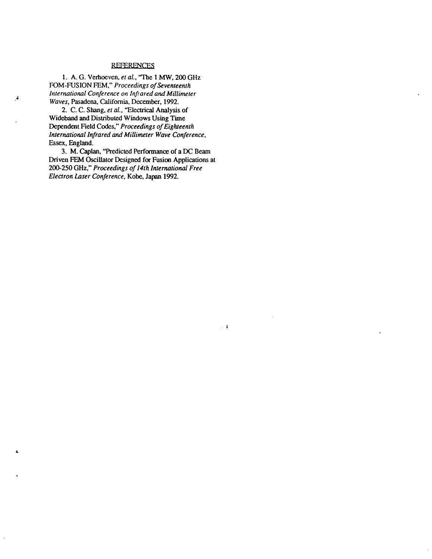# -R*EFERENCE\_*

1. A.G. Verhoeven, *et al*., 'The 1 MW, 200 GHz FOM-FUS ION FEM," *Proceedings of Seventeenth International Conference on Inf*.*,ared and Millimeter* a *Waves*, Pasadena, California, December, 1992.

 $\overline{a}$ 

2. C. C. Shang, *et al*., "Electrical *A*nalysis of Wideband and Distributed Windows Using Time Dependent Field Codes," *Proceedings of Eighteenth International Infrared and Millimeter Wave Conference*, Essex**,** England.

3. M. Caplan, "Predict*e*d Performance of a DC Beam Driven FEM Oscillator Designed for Fusion Applications at 200-250 GHz," *Pr*oc*eedings of 14th Inte*r*national Free Electron Laser Conference*, Kobe, Japan 1992.

 $\sim 1$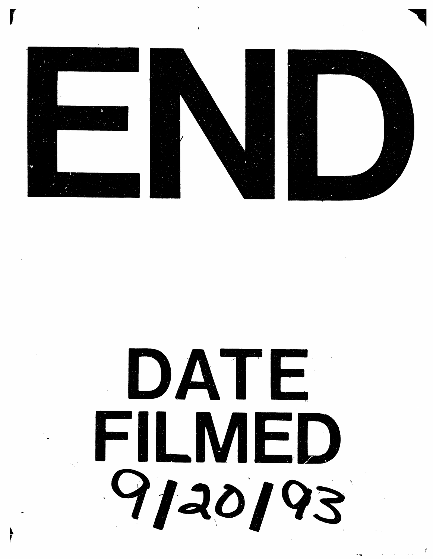





# DATE FILMED 9120193